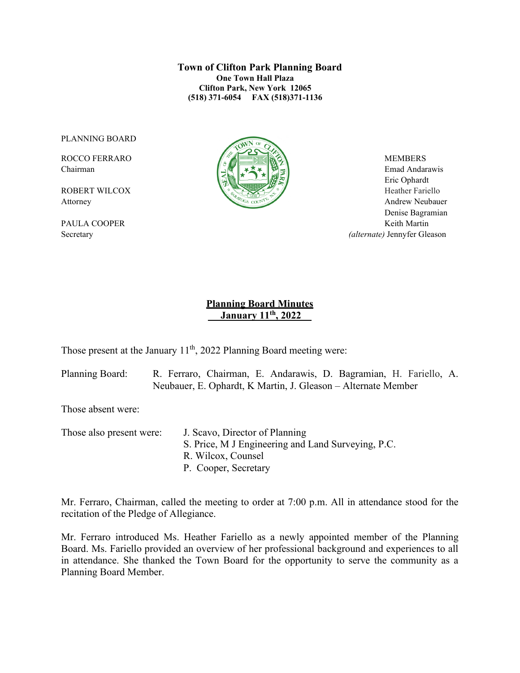**Town of Clifton Park Planning Board One Town Hall Plaza Clifton Park, New York 12065 (518) 371-6054 FAX (518)371-1136**

PLANNING BOARD



Chairman Emad Andarawis  $\left[\begin{array}{c|c} \Delta \end{array}\right]$   $\rightarrow \infty$   $\left[\begin{array}{c|c} \Delta \end{array}\right]$  Emad Andarawis Eric Ophardt Attorney Andrew Neubauer Denise Bagramian PAULA COOPER Keith Martin Secretary *(alternate)* Jennyfer Gleason

# **Planning Board Minutes \_\_ January 11th, 2022\_\_**

Those present at the January  $11<sup>th</sup>$ , 2022 Planning Board meeting were:

Planning Board: R. Ferraro, Chairman, E. Andarawis, D. Bagramian, H. Fariello, A. Neubauer, E. Ophardt, K Martin, J. Gleason – Alternate Member

Those absent were:

Those also present were: J. Scavo, Director of Planning S. Price, M J Engineering and Land Surveying, P.C. R. Wilcox, Counsel P. Cooper, Secretary

Mr. Ferraro, Chairman, called the meeting to order at 7:00 p.m. All in attendance stood for the recitation of the Pledge of Allegiance.

Mr. Ferraro introduced Ms. Heather Fariello as a newly appointed member of the Planning Board. Ms. Fariello provided an overview of her professional background and experiences to all in attendance. She thanked the Town Board for the opportunity to serve the community as a Planning Board Member.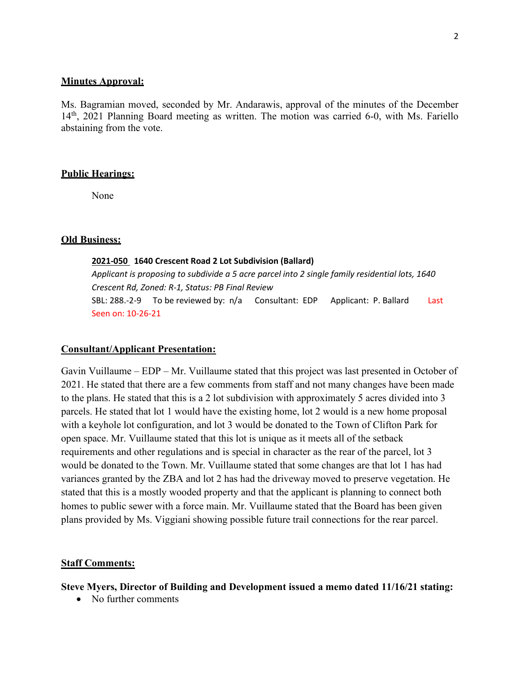#### **Minutes Approval:**

Ms. Bagramian moved, seconded by Mr. Andarawis, approval of the minutes of the December 14<sup>th</sup>, 2021 Planning Board meeting as written. The motion was carried 6-0, with Ms. Fariello abstaining from the vote.

### **Public Hearings:**

None

## **Old Business:**

### **2021-050 1640 Crescent Road 2 Lot Subdivision (Ballard)**

*Applicant is proposing to subdivide a 5 acre parcel into 2 single family residential lots, 1640 Crescent Rd, Zoned: R-1, Status: PB Final Review*  SBL: 288.-2-9 To be reviewed by: n/a Consultant: EDP Applicant: P. Ballard Last Seen on: 10-26-21

#### **Consultant/Applicant Presentation:**

Gavin Vuillaume – EDP – Mr. Vuillaume stated that this project was last presented in October of 2021. He stated that there are a few comments from staff and not many changes have been made to the plans. He stated that this is a 2 lot subdivision with approximately 5 acres divided into 3 parcels. He stated that lot 1 would have the existing home, lot 2 would is a new home proposal with a keyhole lot configuration, and lot 3 would be donated to the Town of Clifton Park for open space. Mr. Vuillaume stated that this lot is unique as it meets all of the setback requirements and other regulations and is special in character as the rear of the parcel, lot 3 would be donated to the Town. Mr. Vuillaume stated that some changes are that lot 1 has had variances granted by the ZBA and lot 2 has had the driveway moved to preserve vegetation. He stated that this is a mostly wooded property and that the applicant is planning to connect both homes to public sewer with a force main. Mr. Vuillaume stated that the Board has been given plans provided by Ms. Viggiani showing possible future trail connections for the rear parcel.

#### **Staff Comments:**

**Steve Myers, Director of Building and Development issued a memo dated 11/16/21 stating:**

• No further comments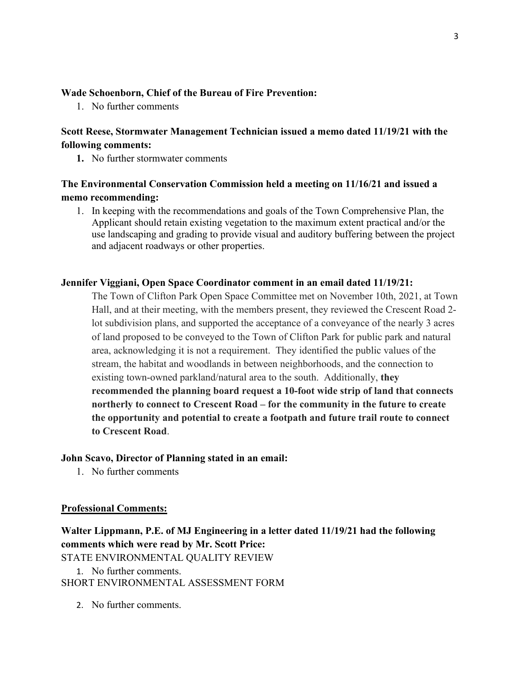## **Wade Schoenborn, Chief of the Bureau of Fire Prevention:**

1. No further comments

# **Scott Reese, Stormwater Management Technician issued a memo dated 11/19/21 with the following comments:**

**1.** No further stormwater comments

# **The Environmental Conservation Commission held a meeting on 11/16/21 and issued a memo recommending:**

1. In keeping with the recommendations and goals of the Town Comprehensive Plan, the Applicant should retain existing vegetation to the maximum extent practical and/or the use landscaping and grading to provide visual and auditory buffering between the project and adjacent roadways or other properties.

## **Jennifer Viggiani, Open Space Coordinator comment in an email dated 11/19/21:**

The Town of Clifton Park Open Space Committee met on November 10th, 2021, at Town Hall, and at their meeting, with the members present, they reviewed the Crescent Road 2 lot subdivision plans, and supported the acceptance of a conveyance of the nearly 3 acres of land proposed to be conveyed to the Town of Clifton Park for public park and natural area, acknowledging it is not a requirement. They identified the public values of the stream, the habitat and woodlands in between neighborhoods, and the connection to existing town-owned parkland/natural area to the south. Additionally, **they recommended the planning board request a 10-foot wide strip of land that connects northerly to connect to Crescent Road – for the community in the future to create the opportunity and potential to create a footpath and future trail route to connect to Crescent Road**.

#### **John Scavo, Director of Planning stated in an email:**

1. No further comments

#### **Professional Comments:**

**Walter Lippmann, P.E. of MJ Engineering in a letter dated 11/19/21 had the following comments which were read by Mr. Scott Price:** STATE ENVIRONMENTAL QUALITY REVIEW

1. No further comments. SHORT ENVIRONMENTAL ASSESSMENT FORM

2. No further comments.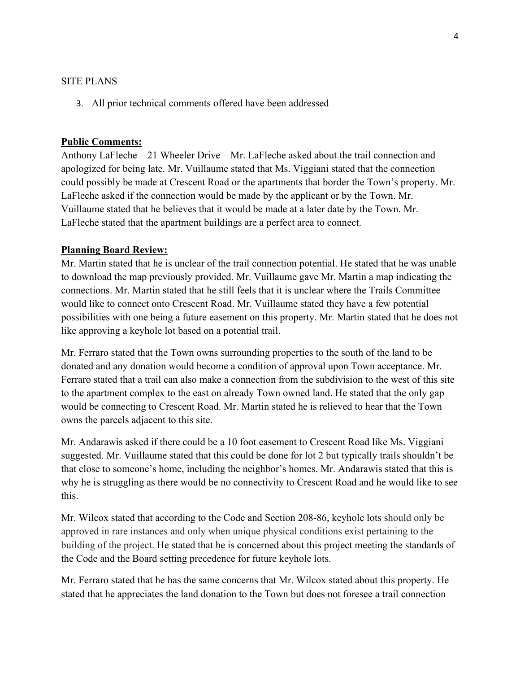#### SITE PLANS

3. All prior technical comments offered have been addressed

### **Public Comments:**

Anthony LaFleche – 21 Wheeler Drive – Mr. LaFleche asked about the trail connection and apologized for being late. Mr. Vuillaume stated that Ms. Viggiani stated that the connection could possibly be made at Crescent Road or the apartments that border the Town's property. Mr. LaFleche asked if the connection would be made by the applicant or by the Town. Mr. Vuillaume stated that he believes that it would be made at a later date by the Town. Mr. LaFleche stated that the apartment buildings are a perfect area to connect.

### **Planning Board Review:**

Mr. Martin stated that he is unclear of the trail connection potential. He stated that he was unable to download the map previously provided. Mr. Vuillaume gave Mr. Martin a map indicating the connections. Mr. Martin stated that he still feels that it is unclear where the Trails Committee would like to connect onto Crescent Road. Mr. Vuillaume stated they have a few potential possibilities with one being a future easement on this property. Mr. Martin stated that he does not like approving a keyhole lot based on a potential trail.

Mr. Ferraro stated that the Town owns surrounding properties to the south of the land to be donated and any donation would become a condition of approval upon Town acceptance. Mr. Ferraro stated that a trail can also make a connection from the subdivision to the west of this site to the apartment complex to the east on already Town owned land. He stated that the only gap would be connecting to Crescent Road. Mr. Martin stated he is relieved to hear that the Town owns the parcels adjacent to this site.

Mr. Andarawis asked if there could be a 10 foot easement to Crescent Road like Ms. Viggiani suggested. Mr. Vuillaume stated that this could be done for lot 2 but typically trails shouldn't be that close to someone's home, including the neighbor's homes. Mr. Andarawis stated that this is why he is struggling as there would be no connectivity to Crescent Road and he would like to see this.

Mr. Wilcox stated that according to the Code and Section 208-86, keyhole lots should only be approved in rare instances and only when unique physical conditions exist pertaining to the building of the project. He stated that he is concerned about this project meeting the standards of the Code and the Board setting precedence for future keyhole lots.

Mr. Ferraro stated that he has the same concerns that Mr. Wilcox stated about this property. He stated that he appreciates the land donation to the Town but does not foresee a trail connection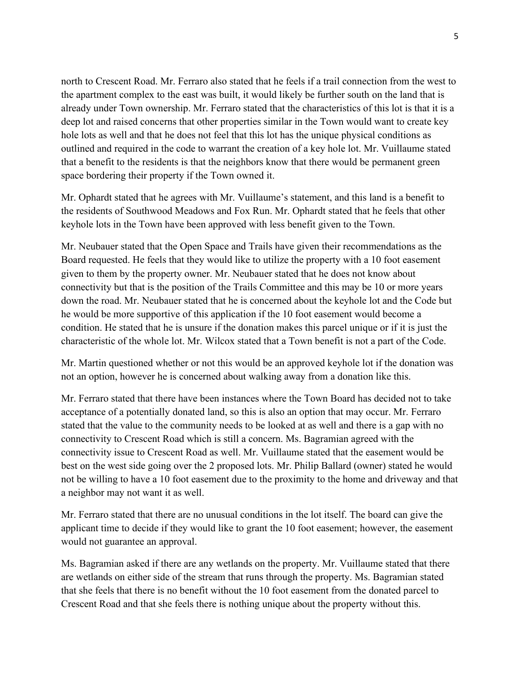north to Crescent Road. Mr. Ferraro also stated that he feels if a trail connection from the west to the apartment complex to the east was built, it would likely be further south on the land that is already under Town ownership. Mr. Ferraro stated that the characteristics of this lot is that it is a deep lot and raised concerns that other properties similar in the Town would want to create key hole lots as well and that he does not feel that this lot has the unique physical conditions as outlined and required in the code to warrant the creation of a key hole lot. Mr. Vuillaume stated that a benefit to the residents is that the neighbors know that there would be permanent green space bordering their property if the Town owned it.

Mr. Ophardt stated that he agrees with Mr. Vuillaume's statement, and this land is a benefit to the residents of Southwood Meadows and Fox Run. Mr. Ophardt stated that he feels that other keyhole lots in the Town have been approved with less benefit given to the Town.

Mr. Neubauer stated that the Open Space and Trails have given their recommendations as the Board requested. He feels that they would like to utilize the property with a 10 foot easement given to them by the property owner. Mr. Neubauer stated that he does not know about connectivity but that is the position of the Trails Committee and this may be 10 or more years down the road. Mr. Neubauer stated that he is concerned about the keyhole lot and the Code but he would be more supportive of this application if the 10 foot easement would become a condition. He stated that he is unsure if the donation makes this parcel unique or if it is just the characteristic of the whole lot. Mr. Wilcox stated that a Town benefit is not a part of the Code.

Mr. Martin questioned whether or not this would be an approved keyhole lot if the donation was not an option, however he is concerned about walking away from a donation like this.

Mr. Ferraro stated that there have been instances where the Town Board has decided not to take acceptance of a potentially donated land, so this is also an option that may occur. Mr. Ferraro stated that the value to the community needs to be looked at as well and there is a gap with no connectivity to Crescent Road which is still a concern. Ms. Bagramian agreed with the connectivity issue to Crescent Road as well. Mr. Vuillaume stated that the easement would be best on the west side going over the 2 proposed lots. Mr. Philip Ballard (owner) stated he would not be willing to have a 10 foot easement due to the proximity to the home and driveway and that a neighbor may not want it as well.

Mr. Ferraro stated that there are no unusual conditions in the lot itself. The board can give the applicant time to decide if they would like to grant the 10 foot easement; however, the easement would not guarantee an approval.

Ms. Bagramian asked if there are any wetlands on the property. Mr. Vuillaume stated that there are wetlands on either side of the stream that runs through the property. Ms. Bagramian stated that she feels that there is no benefit without the 10 foot easement from the donated parcel to Crescent Road and that she feels there is nothing unique about the property without this.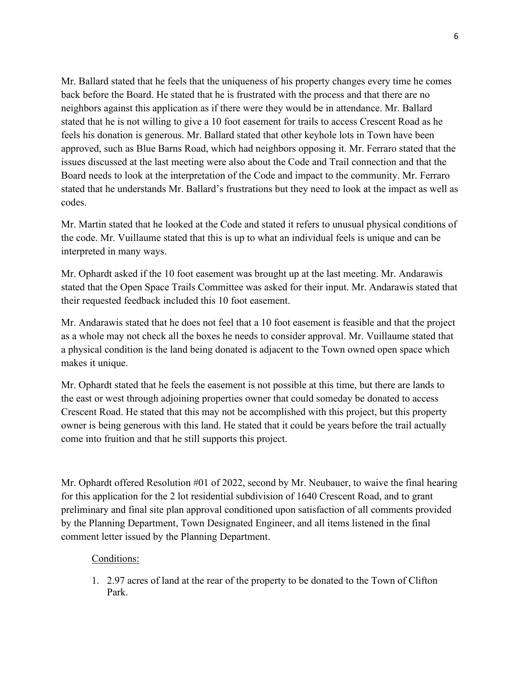Mr. Ballard stated that he feels that the uniqueness of his property changes every time he comes back before the Board. He stated that he is frustrated with the process and that there are no neighbors against this application as if there were they would be in attendance. Mr. Ballard stated that he is not willing to give a 10 foot easement for trails to access Crescent Road as he feels his donation is generous. Mr. Ballard stated that other keyhole lots in Town have been approved, such as Blue Barns Road, which had neighbors opposing it. Mr. Ferraro stated that the issues discussed at the last meeting were also about the Code and Trail connection and that the Board needs to look at the interpretation of the Code and impact to the community. Mr. Ferraro stated that he understands Mr. Ballard's frustrations but they need to look at the impact as well as codes.

Mr. Martin stated that he looked at the Code and stated it refers to unusual physical conditions of the code. Mr. Vuillaume stated that this is up to what an individual feels is unique and can be interpreted in many ways.

Mr. Ophardt asked if the 10 foot easement was brought up at the last meeting. Mr. Andarawis stated that the Open Space Trails Committee was asked for their input. Mr. Andarawis stated that their requested feedback included this 10 foot easement.

Mr. Andarawis stated that he does not feel that a 10 foot easement is feasible and that the project as a whole may not check all the boxes he needs to consider approval. Mr. Vuillaume stated that a physical condition is the land being donated is adjacent to the Town owned open space which makes it unique.

Mr. Ophardt stated that he feels the easement is not possible at this time, but there are lands to the east or west through adjoining properties owner that could someday be donated to access Crescent Road. He stated that this may not be accomplished with this project, but this property owner is being generous with this land. He stated that it could be years before the trail actually come into fruition and that he still supports this project.

Mr. Ophardt offered Resolution #01 of 2022, second by Mr. Neubauer, to waive the final hearing for this application for the 2 lot residential subdivision of 1640 Crescent Road, and to grant preliminary and final site plan approval conditioned upon satisfaction of all comments provided by the Planning Department, Town Designated Engineer, and all items listened in the final comment letter issued by the Planning Department.

## Conditions:

1. 2.97 acres of land at the rear of the property to be donated to the Town of Clifton Park.